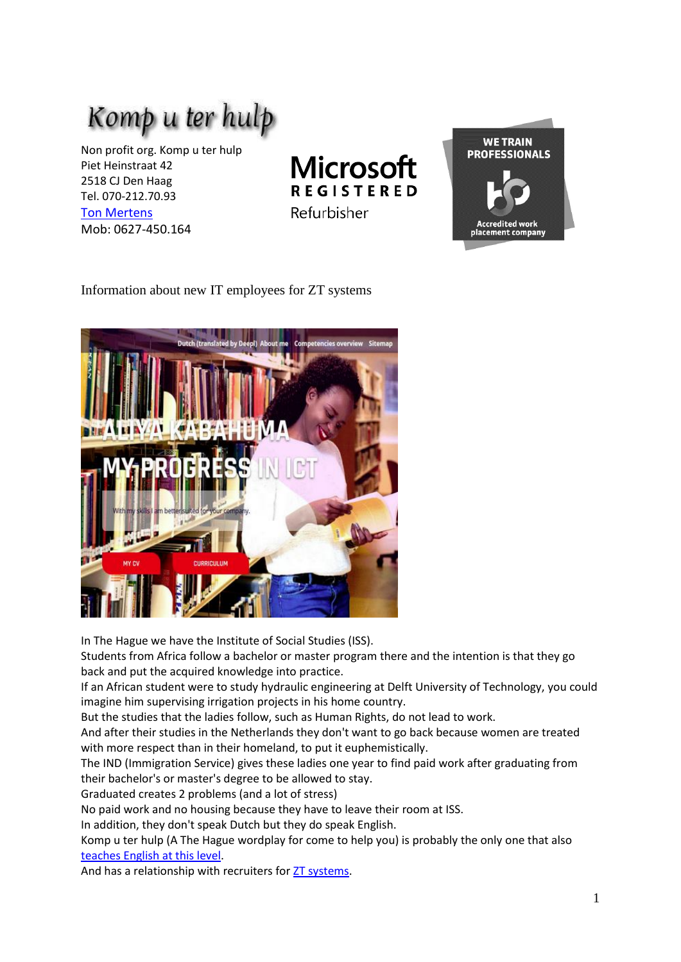

Non profit org. Komp u ter hulp Piet Heinstraat 42 2518 CJ Den Haag Tel. 070-212.70.93 [Ton Mertens](https://www.komp-u-ter-hulp.nl/Posthoorn_Samira_Lara/article_ENG.html) Mob: 0627-450.164

**Microsoft REGISTERED** Refurbisher



Information about new IT employees for ZT systems



In The Hague we have the Institute of Social Studies (ISS).

Students from Africa follow a bachelor or master program there and the intention is that they go back and put the acquired knowledge into practice.

If an African student were to study hydraulic engineering at Delft University of Technology, you could imagine him supervising irrigation projects in his home country.

But the studies that the ladies follow, such as Human Rights, do not lead to work.

And after their studies in the Netherlands they don't want to go back because women are treated with more respect than in their homeland, to put it euphemistically.

The IND (Immigration Service) gives these ladies one year to find paid work after graduating from their bachelor's or master's degree to be allowed to stay.

Graduated creates 2 problems (and a lot of stress)

No paid work and no housing because they have to leave their room at ISS.

In addition, they don't speak Dutch but they do speak English.

Komp u ter hulp (A The Hague wordplay for come to help you) is probably the only one that also [teaches English at this level.](https://www.komp-u-ter-hulp.nl/Opleidingen/Girls_in_tech/Girls_in_tech_ENG.pdf)

And has a relationship with recruiters for [ZT systems.](https://ztsystems.com/)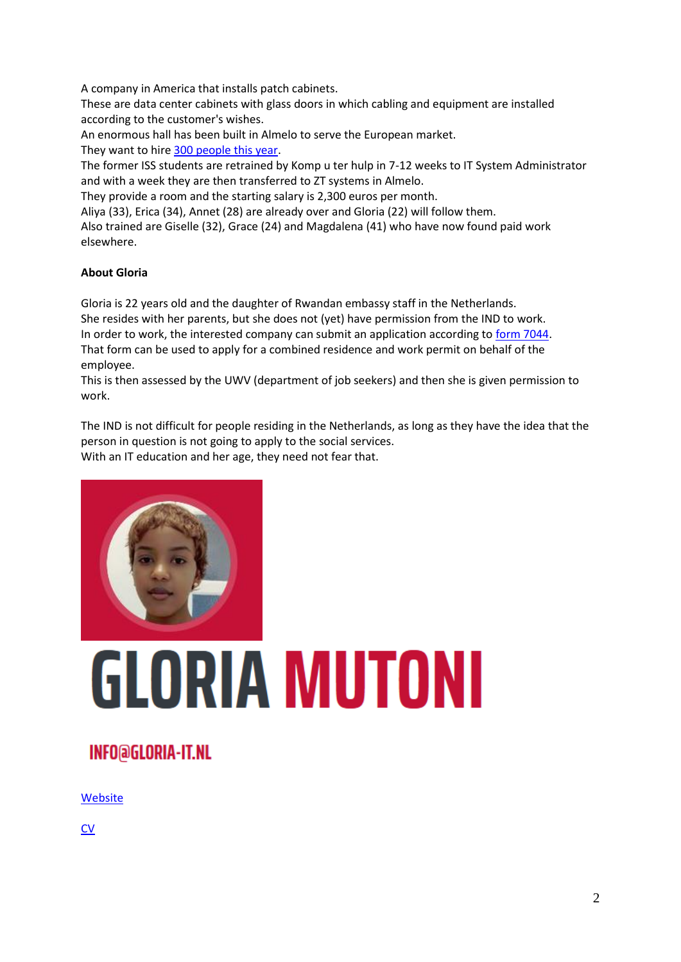A company in America that installs patch cabinets.

These are data center cabinets with glass doors in which cabling and equipment are installed according to the customer's wishes.

An enormous hall has been built in Almelo to serve the European market. They want to hire [300 people this year.](https://www.tubantia.nl/almelo/almelos-best-bewaarde-geheim-zoekt-300-nieuwe-werknemers~a0039cd8/)

The former ISS students are retrained by Komp u ter hulp in 7-12 weeks to IT System Administrator and with a week they are then transferred to ZT systems in Almelo.

They provide a room and the starting salary is 2,300 euros per month.

Aliya (33), Erica (34), Annet (28) are already over and Gloria (22) will follow them.

Also trained are Giselle (32), Grace (24) and Magdalena (41) who have now found paid work elsewhere.

#### **About Gloria**

Gloria is 22 years old and the daughter of Rwandan embassy staff in the Netherlands. She resides with her parents, but she does not (yet) have permission from the IND to work. In order to work, the interested company can submit an application according to [form 7044.](https://ind.nl/Formulieren/7044.pdf) That form can be used to apply for a combined residence and work permit on behalf of the employee.

This is then assessed by the UWV (department of job seekers) and then she is given permission to work.

The IND is not difficult for people residing in the Netherlands, as long as they have the idea that the person in question is not going to apply to the social services. With an IT education and her age, they need not fear that.



# **GLORIA MUTONI**

## **INFO@GLORIA-IT.NL**

[Website](https://www.gloria-it.nl/index.html)

**[CV](https://www.gloria-it.nl/CV/index_eng.html)**